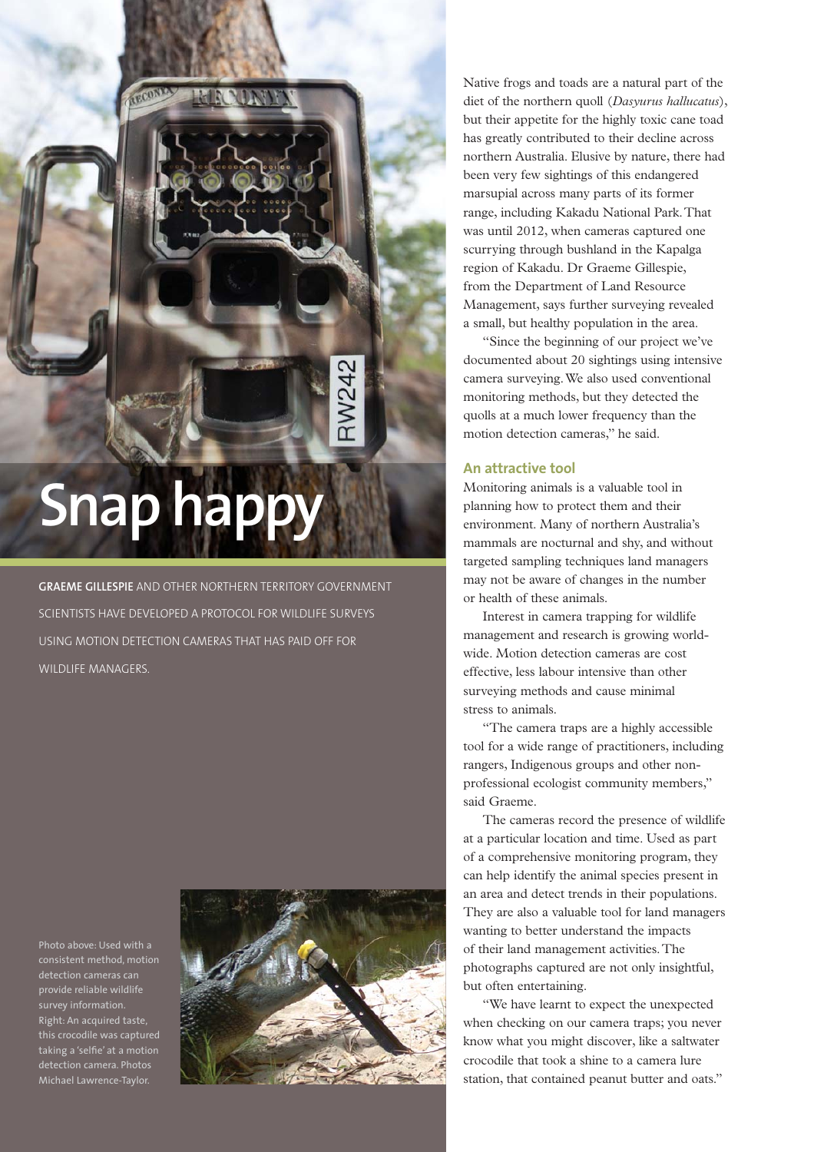# **Snap happy**

**GRAEME GILLESPIE** AND OTHER NORTHERN TERRITORY GOVERNMENT SCIENTISTS HAVE DEVELOPED A PROTOCOL FOR WILDLIFE SURVEYS USING MOTION DETECTION CAMERAS THAT HAS PAID OFF FOR WILDLIFE MANAGERS.

Photo above: Used with a detection cameras can provide reliable wildlife survey information. Right: An acquired taste, this crocodile was captured taking a 'selfie' at a motion detection camera. Photos Michael Lawrence-Taylor.



Native frogs and toads are a natural part of the diet of the northern quoll (*Dasyurus hallucatus*), but their appetite for the highly toxic cane toad has greatly contributed to their decline across northern Australia. Elusive by nature, there had been very few sightings of this endangered marsupial across many parts of its former range, including Kakadu National Park. That was until 2012, when cameras captured one scurrying through bushland in the Kapalga region of Kakadu. Dr Graeme Gillespie, from the Department of Land Resource Management, says further surveying revealed a small, but healthy population in the area.

"Since the beginning of our project we've documented about 20 sightings using intensive camera surveying. We also used conventional monitoring methods, but they detected the quolls at a much lower frequency than the motion detection cameras," he said.

#### **An attractive tool**

Monitoring animals is a valuable tool in planning how to protect them and their environment. Many of northern Australia's mammals are nocturnal and shy, and without targeted sampling techniques land managers may not be aware of changes in the number or health of these animals.

Interest in camera trapping for wildlife management and research is growing worldwide. Motion detection cameras are cost effective, less labour intensive than other surveying methods and cause minimal stress to animals.

"The camera traps are a highly accessible tool for a wide range of practitioners, including rangers, Indigenous groups and other nonprofessional ecologist community members," said Graeme.

The cameras record the presence of wildlife at a particular location and time. Used as part of a comprehensive monitoring program, they can help identify the animal species present in an area and detect trends in their populations. They are also a valuable tool for land managers wanting to better understand the impacts of their land management activities. The photographs captured are not only insightful, but often entertaining.

"We have learnt to expect the unexpected when checking on our camera traps; you never know what you might discover, like a saltwater crocodile that took a shine to a camera lure station, that contained peanut butter and oats."